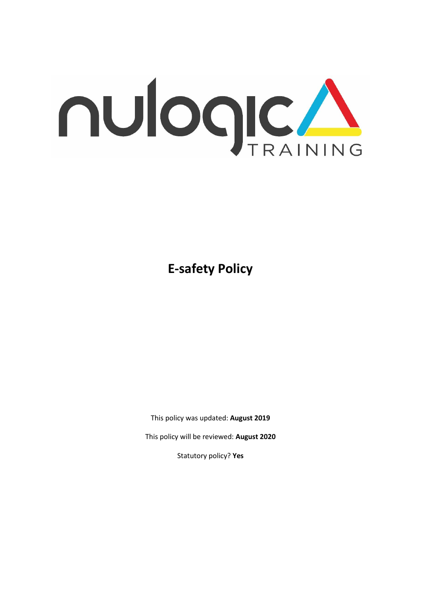

**E-safety Policy** 

This policy was updated: **August 2019**

This policy will be reviewed: **August 2020**

Statutory policy? **Yes**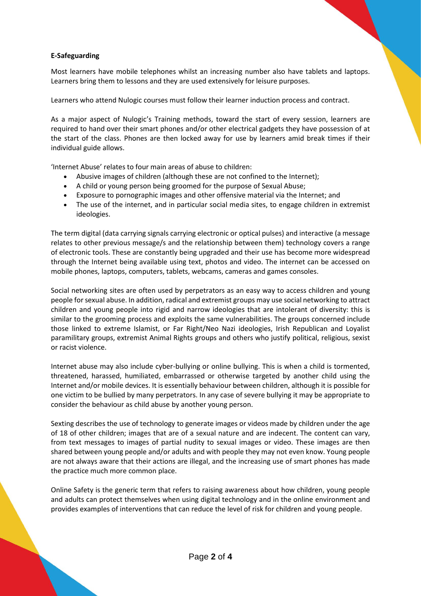## **E-Safeguarding**

Most learners have mobile telephones whilst an increasing number also have tablets and laptops. Learners bring them to lessons and they are used extensively for leisure purposes.

Learners who attend Nulogic courses must follow their learner induction process and contract.

As a major aspect of Nulogic's Training methods, toward the start of every session, learners are required to hand over their smart phones and/or other electrical gadgets they have possession of at the start of the class. Phones are then locked away for use by learners amid break times if their individual guide allows.

'Internet Abuse' relates to four main areas of abuse to children:

- Abusive images of children (although these are not confined to the Internet);
- A child or young person being groomed for the purpose of Sexual Abuse;
- Exposure to pornographic images and other offensive material via the Internet; and
- The use of the internet, and in particular social media sites, to engage children in extremist ideologies.

The term digital (data carrying signals carrying electronic or optical pulses) and interactive (a message relates to other previous message/s and the relationship between them) technology covers a range of electronic tools. These are constantly being upgraded and their use has become more widespread through the Internet being available using text, photos and video. The internet can be accessed on mobile phones, laptops, computers, tablets, webcams, cameras and games consoles.

Social networking sites are often used by perpetrators as an easy way to access children and young people for sexual abuse. In addition, radical and extremist groups may use social networking to attract children and young people into rigid and narrow ideologies that are intolerant of diversity: this is similar to the grooming process and exploits the same vulnerabilities. The groups concerned include those linked to extreme Islamist, or Far Right/Neo Nazi ideologies, Irish Republican and Loyalist paramilitary groups, extremist Animal Rights groups and others who justify political, religious, sexist or racist violence.

Internet abuse may also include cyber-bullying or online bullying. This is when a child is tormented, threatened, harassed, humiliated, embarrassed or otherwise targeted by another child using the Internet and/or mobile devices. It is essentially behaviour between children, although it is possible for one victim to be bullied by many perpetrators. In any case of severe bullying it may be appropriate to consider the behaviour as child abuse by another young person.

Sexting describes the use of technology to generate images or videos made by children under the age of 18 of other children; images that are of a sexual nature and are indecent. The content can vary, from text messages to images of partial nudity to sexual images or video. These images are then shared between young people and/or adults and with people they may not even know. Young people are not always aware that their actions are illegal, and the increasing use of smart phones has made the practice much more common place.

Online Safety is the generic term that refers to raising awareness about how children, young people and adults can protect themselves when using digital technology and in the online environment and provides examples of interventions that can reduce the level of risk for children and young people.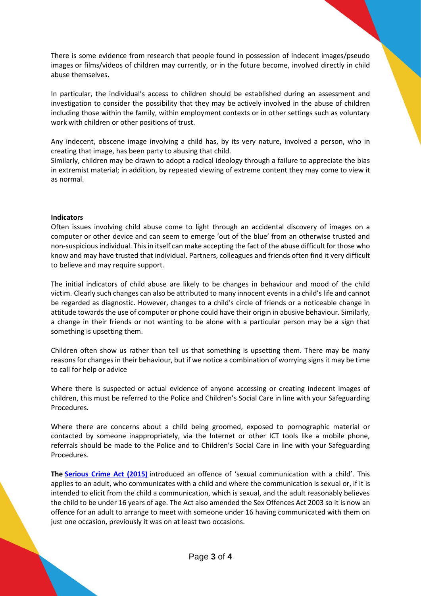There is some evidence from research that people found in possession of indecent images/pseudo images or films/videos of children may currently, or in the future become, involved directly in child abuse themselves.

In particular, the individual's access to children should be established during an assessment and investigation to consider the possibility that they may be actively involved in the abuse of children including those within the family, within employment contexts or in other settings such as voluntary work with children or other positions of trust.

Any indecent, obscene image involving a child has, by its very nature, involved a person, who in creating that image, has been party to abusing that child.

Similarly, children may be drawn to adopt a radical ideology through a failure to appreciate the bias in extremist material; in addition, by repeated viewing of extreme content they may come to view it as normal.

## **Indicators**

Often issues involving child abuse come to light through an accidental discovery of images on a computer or other device and can seem to emerge 'out of the blue' from an otherwise trusted and non-suspicious individual. This in itself can make accepting the fact of the abuse difficult for those who know and may have trusted that individual. Partners, colleagues and friends often find it very difficult to believe and may require support.

The initial indicators of child abuse are likely to be changes in behaviour and mood of the child victim. Clearly such changes can also be attributed to many innocent events in a child's life and cannot be regarded as diagnostic. However, changes to a child's circle of friends or a noticeable change in attitude towards the use of computer or phone could have their origin in abusive behaviour. Similarly, a change in their friends or not wanting to be alone with a particular person may be a sign that something is upsetting them.

Children often show us rather than tell us that something is upsetting them. There may be many reasons for changes in their behaviour, but if we notice a combination of worrying signs it may be time to call for help or advice

Where there is suspected or actual evidence of anyone accessing or creating indecent images of children, this must be referred to the Police and Children's Social Care in line with your Safeguarding Procedures.

Where there are concerns about a child being groomed, exposed to pornographic material or contacted by someone inappropriately, via the Internet or other ICT tools like a mobile phone, referrals should be made to the Police and to Children's Social Care in line with your Safeguarding Procedures.

**The [Serious Crime Act \(2015\)](http://www.legislation.gov.uk/ukpga/2015/9/section/67/enacted)** introduced an offence of 'sexual communication with a child'. This applies to an adult, who communicates with a child and where the communication is sexual or, if it is intended to elicit from the child a communication, which is sexual, and the adult reasonably believes the child to be under 16 years of age. The Act also amended the Sex Offences Act 2003 so it is now an offence for an adult to arrange to meet with someone under 16 having communicated with them on just one occasion, previously it was on at least two occasions.